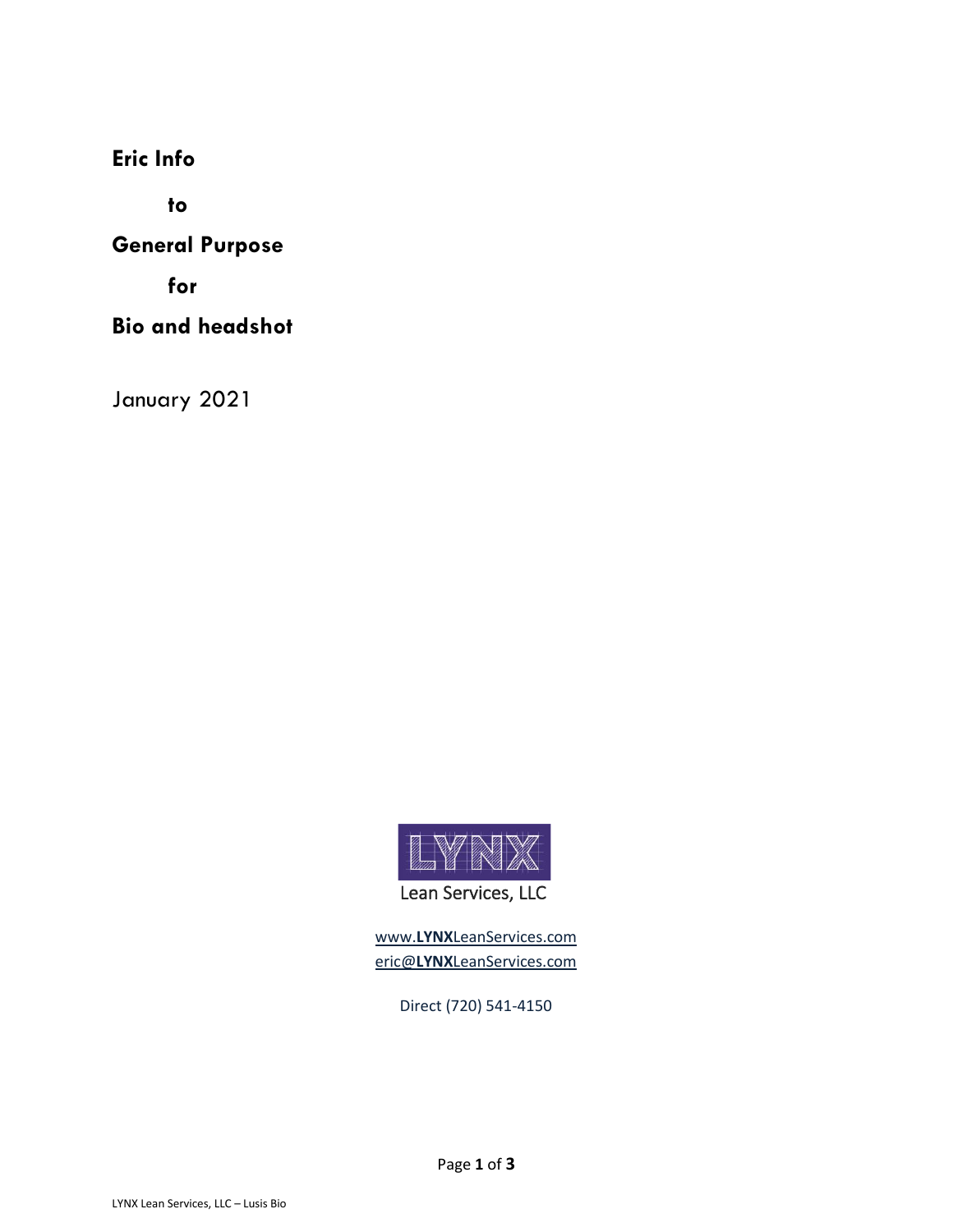**Eric Info**

**to**

**General Purpose**

**for**

**Bio and headshot**

January 2021



www.**LYNX**[LeanServices.com](http://www.lynxleanservices.com/) eric@**LYNX**[LeanServices.com](file:///C:/Users/User/Desktop/LYNX/Templates/eric@LYNXLeanServices.com)

Direct (720) 541-4150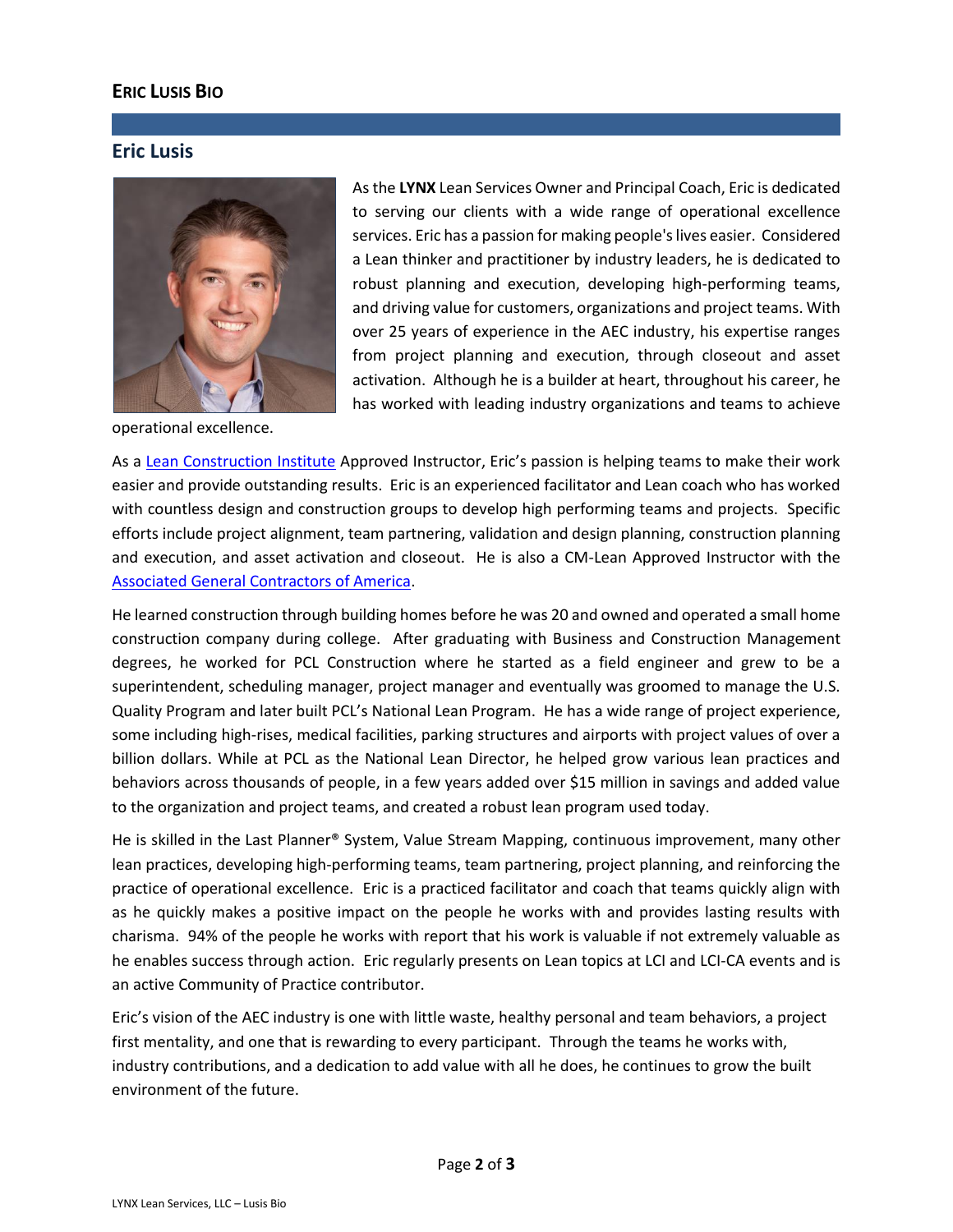## **ERIC LUSIS BIO**

## **Eric Lusis**



operational excellence.

As the **LYNX** Lean Services Owner and Principal Coach, Eric is dedicated to serving our clients with a wide range of operational excellence services. Eric has a passion for making people's lives easier. Considered a Lean thinker and practitioner by industry leaders, he is dedicated to robust planning and execution, developing high-performing teams, and driving value for customers, organizations and project teams. With over 25 years of experience in the AEC industry, his expertise ranges from project planning and execution, through closeout and asset activation. Although he is a builder at heart, throughout his career, he has worked with leading industry organizations and teams to achieve

As a [Lean Construction Institute](https://www.leanconstruction.org/) Approved Instructor, Eric's passion is helping teams to make their work easier and provide outstanding results. Eric is an experienced facilitator and Lean coach who has worked with countless design and construction groups to develop high performing teams and projects. Specific efforts include project alignment, team partnering, validation and design planning, construction planning and execution, and asset activation and closeout. He is also a CM-Lean Approved Instructor with the [Associated General Contractors of America.](https://www.agc.org/learn/education-training/lean-construction/certificate-management-lean-construction)

He learned construction through building homes before he was 20 and owned and operated a small home construction company during college. After graduating with Business and Construction Management degrees, he worked for PCL Construction where he started as a field engineer and grew to be a superintendent, scheduling manager, project manager and eventually was groomed to manage the U.S. Quality Program and later built PCL's National Lean Program. He has a wide range of project experience, some including high-rises, medical facilities, parking structures and airports with project values of over a billion dollars. While at PCL as the National Lean Director, he helped grow various lean practices and behaviors across thousands of people, in a few years added over \$15 million in savings and added value to the organization and project teams, and created a robust lean program used today.

He is skilled in the Last Planner® System, Value Stream Mapping, continuous improvement, many other lean practices, developing high-performing teams, team partnering, project planning, and reinforcing the practice of operational excellence. Eric is a practiced facilitator and coach that teams quickly align with as he quickly makes a positive impact on the people he works with and provides lasting results with charisma. 94% of the people he works with report that his work is valuable if not extremely valuable as he enables success through action. Eric regularly presents on Lean topics at LCI and LCI-CA events and is an active Community of Practice contributor.

Eric's vision of the AEC industry is one with little waste, healthy personal and team behaviors, a project first mentality, and one that is rewarding to every participant. Through the teams he works with, industry contributions, and a dedication to add value with all he does, he continues to grow the built environment of the future.